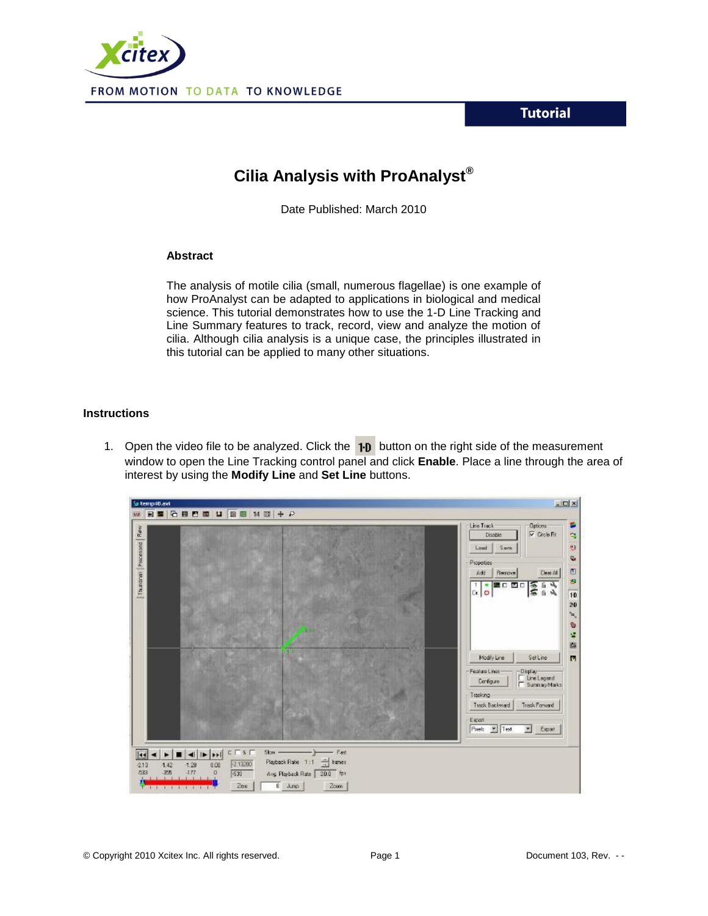**Tutorial** 



## **Cilia Analysis with ProAnalyst®**

Date Published: March 2010

## **Abstract**

The analysis of motile cilia (small, numerous flagellae) is one example of how ProAnalyst can be adapted to applications in biological and medical science. This tutorial demonstrates how to use the 1-D Line Tracking and Line Summary features to track, record, view and analyze the motion of cilia. Although cilia analysis is a unique case, the principles illustrated in this tutorial can be applied to many other situations.

## **Instructions**

1. Open the video file to be analyzed. Click the  $\textbf{1-}\mathbf{D}$  button on the right side of the measurement window to open the Line Tracking control panel and click **Enable**. Place a line through the area of interest by using the **Modify Line** and **Set Line** buttons.

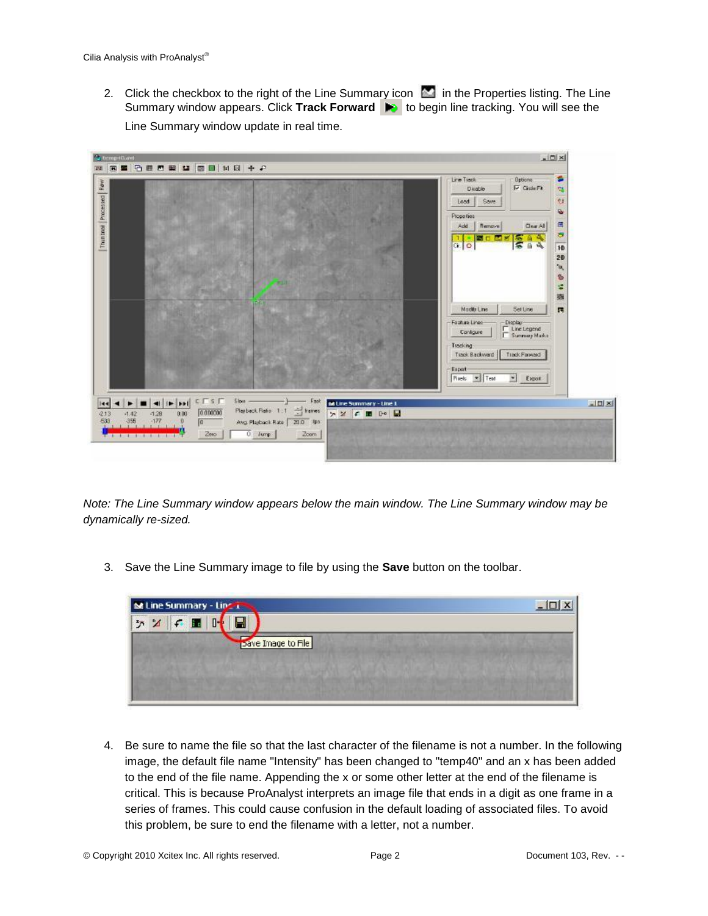2. Click the checkbox to the right of the Line Summary icon  $\sim$  in the Properties listing. The Line Summary window appears. Click Track Forward **to begine the tracking. You will see the** Line Summary window update in real time.



*Note: The Line Summary window appears below the main window. The Line Summary window may be dynamically re-sized.*

3. Save the Line Summary image to file by using the **Save** button on the toolbar.

| M Line Summary - Line Line |  |                    |  |  |  | $\mathsf{I}$ |
|----------------------------|--|--------------------|--|--|--|--------------|
| $\tilde{\mathcal{D}}$ :    |  |                    |  |  |  |              |
|                            |  | Dave Image to File |  |  |  |              |
|                            |  |                    |  |  |  |              |
|                            |  |                    |  |  |  |              |
|                            |  |                    |  |  |  |              |

4. Be sure to name the file so that the last character of the filename is not a number. In the following image, the default file name "Intensity" has been changed to "temp40" and an x has been added to the end of the file name. Appending the x or some other letter at the end of the filename is critical. This is because ProAnalyst interprets an image file that ends in a digit as one frame in a series of frames. This could cause confusion in the default loading of associated files. To avoid this problem, be sure to end the filename with a letter, not a number.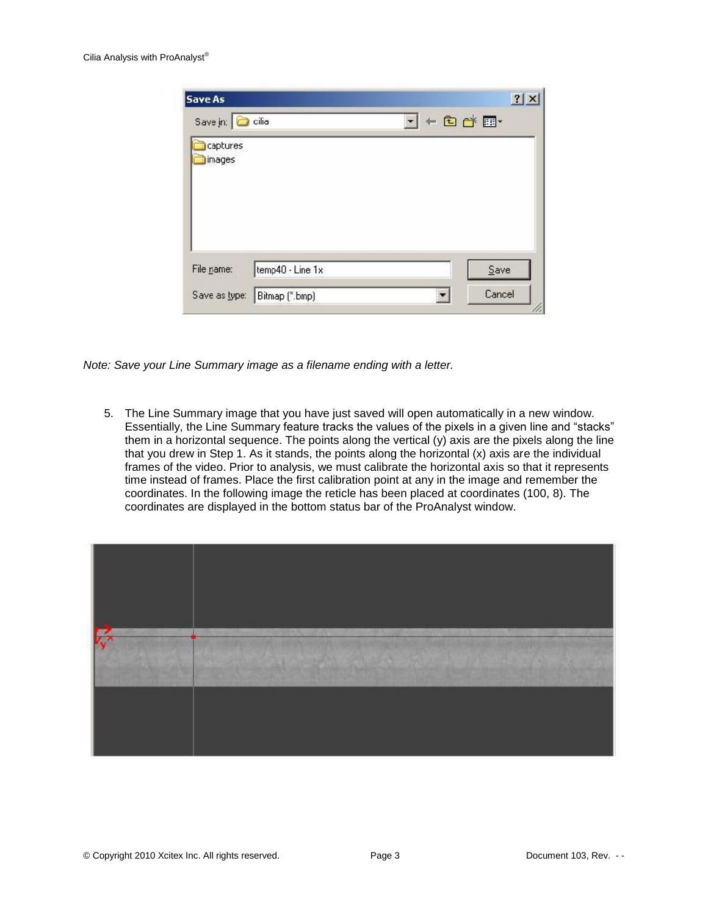| Save As            |                  |                                                                                 | 2 X  |
|--------------------|------------------|---------------------------------------------------------------------------------|------|
| Save in: C cilia   |                  | $\underline{\mathbf{r}}$ + $\underline{\mathbf{r}}$ of $\underline{\mathbf{r}}$ |      |
| captures<br>images |                  |                                                                                 |      |
|                    |                  |                                                                                 |      |
|                    |                  |                                                                                 |      |
| File name:         | temp40 - Line 1x |                                                                                 | Save |

*Note: Save your Line Summary image as a filename ending with a letter.*

5. The Line Summary image that you have just saved will open automatically in a new window. Essentially, the Line Summary feature tracks the values of the pixels in a given line and "stacks" them in a horizontal sequence. The points along the vertical (y) axis are the pixels along the line that you drew in Step 1. As it stands, the points along the horizontal (x) axis are the individual frames of the video. Prior to analysis, we must calibrate the horizontal axis so that it represents time instead of frames. Place the first calibration point at any in the image and remember the coordinates. In the following image the reticle has been placed at coordinates (100, 8). The coordinates are displayed in the bottom status bar of the ProAnalyst window.

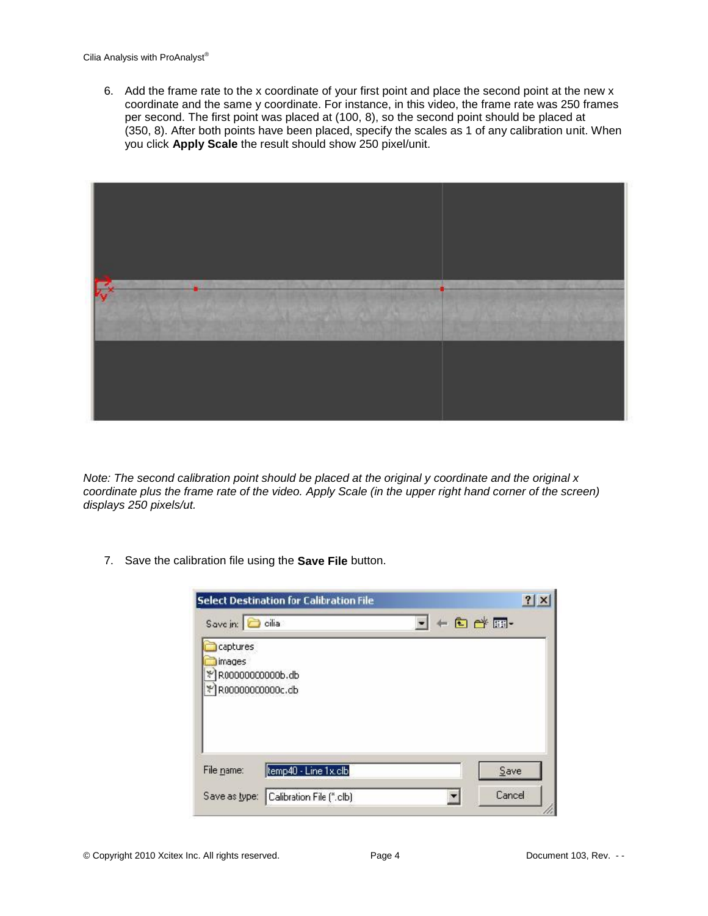6. Add the frame rate to the x coordinate of your first point and place the second point at the new x coordinate and the same y coordinate. For instance, in this video, the frame rate was 250 frames per second. The first point was placed at (100, 8), so the second point should be placed at (350, 8). After both points have been placed, specify the scales as 1 of any calibration unit. When you click **Apply Scale** the result should show 250 pixel/unit.



*Note: The second calibration point should be placed at the original y coordinate and the original x coordinate plus the frame rate of the video. Apply Scale (in the upper right hand corner of the screen) displays 250 pixels/ut.*

7. Save the calibration file using the **Save File** button.

| Save in: a cilia           |                      | $+$ $E$ $E$ $E$ |
|----------------------------|----------------------|-----------------|
|                            |                      |                 |
| captures                   |                      |                 |
| images<br>R00000000000b.db |                      |                 |
|                            |                      |                 |
|                            |                      |                 |
|                            | R0000000000c.db      |                 |
|                            |                      |                 |
|                            |                      |                 |
|                            |                      |                 |
| File name:                 | temp40 - Line 1x.clb | Save            |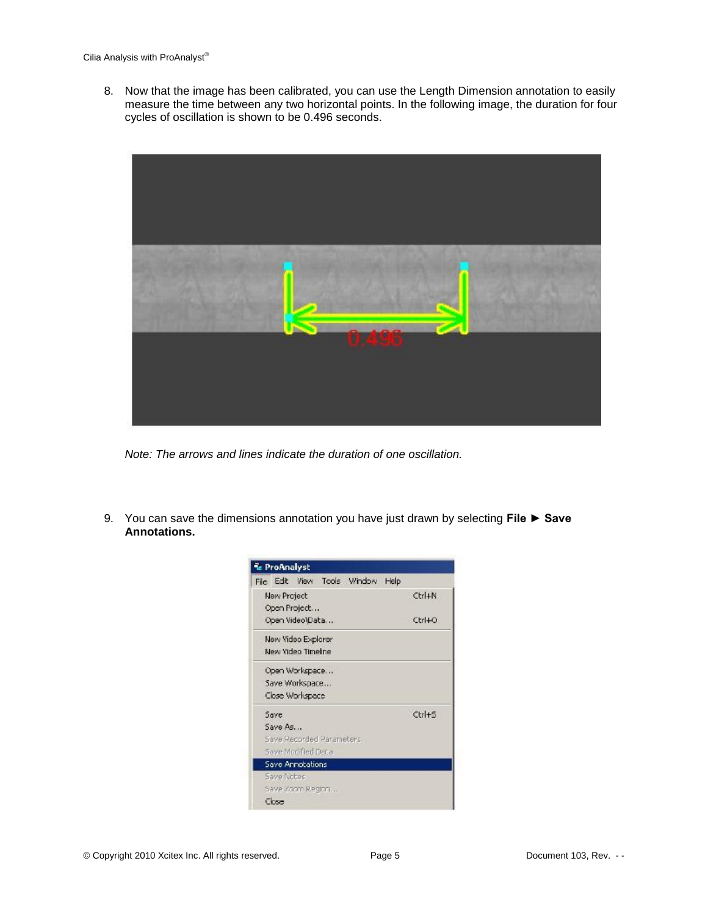8. Now that the image has been calibrated, you can use the Length Dimension annotation to easily measure the time between any two horizontal points. In the following image, the duration for four cycles of oscillation is shown to be 0.496 seconds.



*Note: The arrows and lines indicate the duration of one oscillation.*

9. You can save the dimensions annotation you have just drawn by selecting **File ► Save Annotations.**

| File Edit View Tools Window Help |                      |
|----------------------------------|----------------------|
| <b>New Project</b>               | Ctrl+N               |
| Open Project                     |                      |
| Open Video\Data                  | Ctrl+O               |
| New Yideo Explorer.              |                      |
| New Yideo Timelne                |                      |
| Open Workspace                   |                      |
| Save Workspace                   |                      |
| Close Workspace                  |                      |
| Save                             | $Ctr$ H <sub>5</sub> |
| Save As                          |                      |
| Save Recorded Parameters         |                      |
| Save Modified Data               |                      |
| Save Annotations                 |                      |
| Save Nobec                       |                      |
| Save Zoom Region                 |                      |
| Close                            |                      |